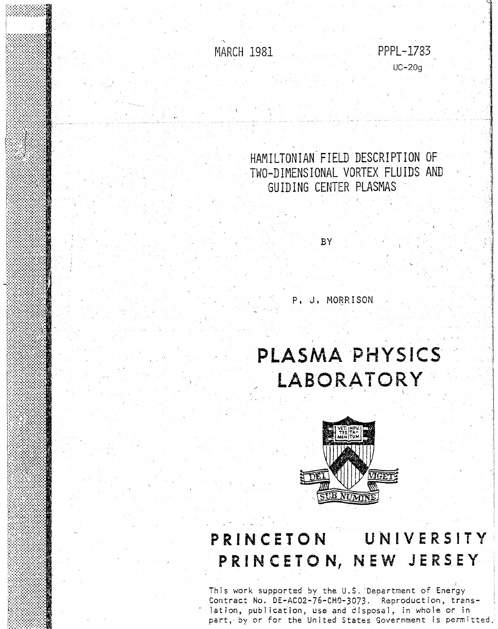MARCH 1981 **PPPL-1783** 

UC-20g

 $\cdot$  ,  $\cdot$  ,

 $\cdot$  ;  $\cdot$   $\cdot$ 

HAMILTONIAN FIELD DESCRIPTION OF TWO-D IMENS IONAL VORTEX FLUIDS AND GUIDING CENTER PLASMAS

**BY** 

P. J. MORRISON

# **PLASMA** 'PHYSICS' **LABORATORY**



# **PRINCETON UNIVERSITY,**  PRINCETON, NEW JERSEY

This work supported by the U.S. Department of Energy Contract No. DE-AC02-76-CHO-3073. Reproduction, translation, publication, use and disposal, in whole or in part:, by or for the United States Government is permitted,.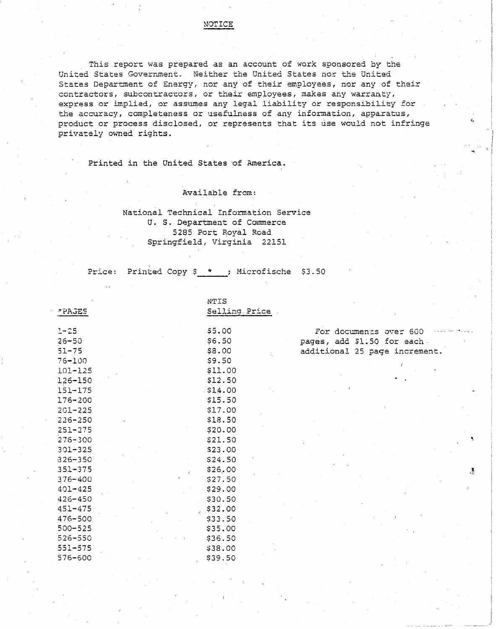# NOTICE

This report was prepared as an account of work sponsored by the United States Government. Neither the United States nor the United States Department of Energy, nor any of their employees, nor any of their contractors, subcontractors, or their employees, makes any warranty, express or implied, or assumes any legal liability or responsibility for the accuracy, completeness or usefulness of any information, apparatus, product or process disclosed, or represents that its use would not infringe privately owned rights.

Printed in the United States 'of America.

Available from:

# National Technical Information Service U. S. Department of Commerce 5285 Port Royal Road Springfield, Virginia 22151

Price: Printed Copy \$ <u>\* ,</u> Microfische \$3.50

| *PAGES                | NTIS<br>Selling Price |
|-----------------------|-----------------------|
| $1 - 25$<br>$26 - 50$ | \$5.00<br>\$6.50      |
| $51 - 75$             | \$8.00                |
| 76-100                | \$9.50                |
| $101 - 125$           | \$11.00               |
| 126-150               | \$12,50               |
| $151 - 175$           | \$14.00               |
| 176-200               | \$15.50               |
| $201 - 225$           | \$17.00               |
| $226 - 250$           | \$18.50               |
| $251 - 275$           | \$20.00               |
| $276 - 300$           | \$21.50               |
| $301 - 325$           | \$23,00               |
| 326-350               | \$24.50               |
| $351 - 375$           | \$26.00               |
| 376-400               | \$27.50               |
| $401 - 425$           | \$29.00               |
| $426 - 450$           | \$30.50               |
| $451 - 475$           | 532.00                |
| $476 - 500$           | \$33.50               |
| $500 - 525$           | \$35.00               |
| $526 - 550$           | \$36.50               |
| $551 - 575$           | \$38.00               |
| 576-600               | \$39,50               |

For documents over 600 pages, add \$1.50 for each additional 25 page increment.

"

 $\mathcal{A}$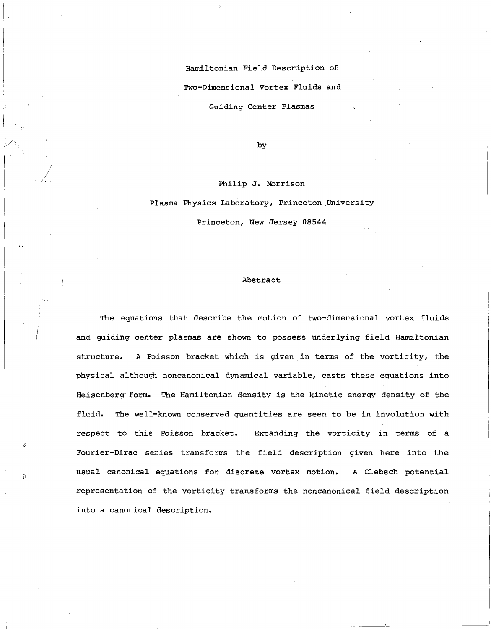Hamiltonian Field Description of Two-Dimensional Vortex Fluids and Guiding Center Plasmas

by

## Philip **J.** Morrison

/

 $\left\langle \cdot \right\rangle$ 

 $\Omega$ 

Plasma Physics Laboratory, Princeton University Princeton, New Jersey 08544

#### Abstract

The equations that describe the motion of two-dimensional vortex fluids and guiding center plasmas are shown to possess underlying field Hamiltonian structure. A Poisson bracket which is given in terms of the vorticity, the physical although noncanonical dynamical variable, casts these equations into Heisenberg form. The Hamiltonian density is the kinetic energy density of the fluid. The well-known conserved quantities are seen to be in involution with respect to this Poisson bracket. Expanding the vorticity in terms of a Fourier-Dirac series transforms the field description given here into the usual canonical equations for discrete vortex motion. A Clebsch potential representation of the vorticity transforms the noncanonical field description into a canonical description.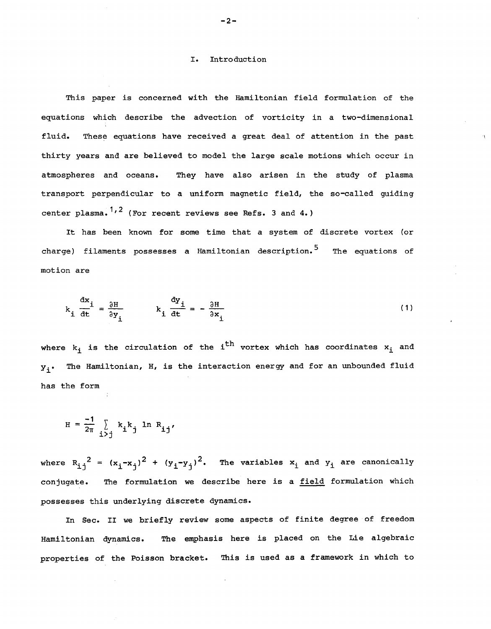### I. Introduction

This paper is concerned with the Hamiltonian field formulation of the equations which describe the advection of vorticity in a two-dimensional fluid. These equations have received a great deal of attention in the past thirty years and are believed to model the large scale motions which occur in atmospheres and oceans. They have also arisen in the study of plasma transport perpendicular to a uniform magnetic field, the so-called guiding center plasma.  $1, 2$  (For recent reviews see Refs. 3 and 4.)

It has been known for some time that a system of discrete vortex (or charge) filaments possesses a Hamiltonian description.<sup>5</sup> The equations of motion are

$$
k_{i} \frac{dx_{i}}{dt} = \frac{\partial H}{\partial y_{i}} \qquad k_{i} \frac{dy_{i}}{dt} = -\frac{\partial H}{\partial x_{i}}
$$
 (1)

where  $k_i$  is the circulation of the i<sup>th</sup> vortex which has coordinates  $x_i$  and  $y_i$ . The Hamiltonian, H, is the interaction energy and for an unbounded fluid has the form

$$
H = \frac{-1}{2\pi} \sum_{i > j} k_i k_j \ln R_{ij'}
$$

where  $R_{i,j}^{2} = (x_i - x_j)^2 + (y_i - y_j)^2$ . The variables  $x_i$  and  $y_i$  are canonically conjugate. The formulation we describe here is a field formulation which possesses this underlying discrete dynamics.

In Sec. II we briefly review some aspects of finite degree of freedom Hamiltonian dynamics. The emphasis here is placed on the Lie algebraic properties of the Poisson bracket. This is used as a framework in which to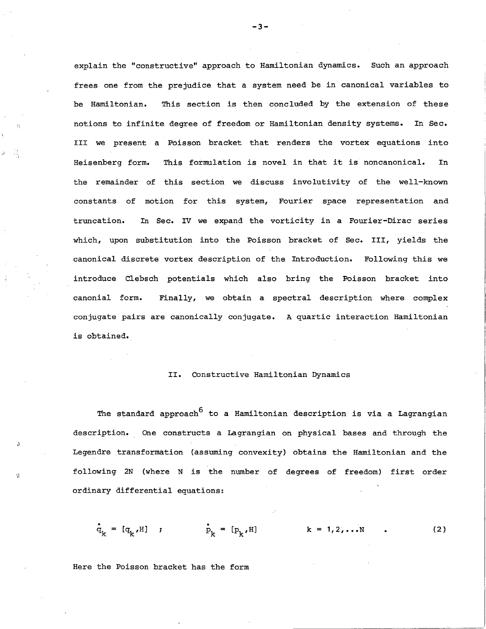explain the "constructive" approach to Hamiltonian dynamics. Such an approach frees one from the prejudice that a system need be in canonical variables to be Hamiltonian. This section is then concluded by the extension of these notions to infinite degree of freedom or Hamiltonian density systems. In Sec. III we present a Poisson bracket that renders the vortex equations into Heisenberg form. This formulation is novel in that it is noncanonical. In the remainder of this section we discuss involutivity of the well-known constants of motion for this system, Fourier space representation and truncation. In Sec. IV we expand the vorticity in a Fourier-Dirac series which, upon substitution into the Poisson bracket of Sec. III, yields the canonical discrete vortex description of the Introduction. Following this we introduce Clebsch potentials which also bring the Poisson bracket into canonial form. Finally, we obtain a spectral description where complex conjugate pairs are canonically conjugate. A quartic interaction Hamiltonian is obtained.

## II. Constructive Hamiltonian Dynamics

The standard approach<sup>6</sup> to a Hamiltonian description is via a Lagrangian description. One constructs a Lagrangian on physical bases and through the Legendre transformation (assuming convexity) obtains the Hamiltonian and the following 2N (where N is the number of degrees of freedom) first order ordinary differential equations:

$$
\dot{q}_k = [q_k, H]
$$
 ;  $\dot{p}_k = [p_k, H]$   $k = 1, 2, ... N$  . (2)

Here the Poisson bracket has the form

 $\eta$ 

-3-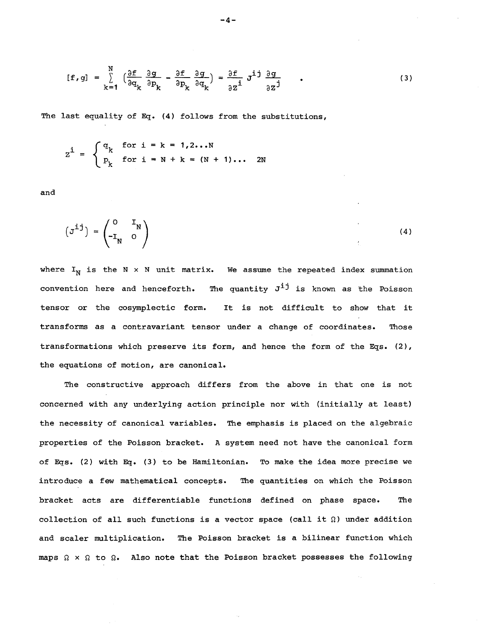$$
[\mathbf{f}, \mathbf{g}] = \sum_{k=1}^{N} \left( \frac{\partial \mathbf{f}}{\partial \mathbf{q}_k} \frac{\partial \mathbf{g}}{\partial \mathbf{p}_k} - \frac{\partial \mathbf{f}}{\partial \mathbf{p}_k} \frac{\partial \mathbf{g}}{\partial \mathbf{q}_k} \right) = \frac{\partial \mathbf{f}}{\partial \mathbf{z}^{\mathbf{i}}} \mathbf{J}^{\mathbf{i} \mathbf{j}} \frac{\partial \mathbf{g}}{\partial \mathbf{z}^{\mathbf{j}}}
$$
 (3)

The last equality of Eq. (4) follows from the substitutions,

$$
zi = \begin{cases} q_k & \text{for } i = k = 1, 2...N \\ p_k & \text{for } i = N + k = (N + 1)... & 2N \end{cases}
$$

and

$$
\begin{pmatrix} \mathbf{J}^{\mathbf{1}} \end{pmatrix} = \begin{pmatrix} \mathbf{0} & \mathbf{I}_{N} \\ -\mathbf{I}_{N} & \mathbf{0} \end{pmatrix} \tag{4}
$$

where  $I_N$  is the N x N unit matrix. We assume the repeated index summation convention here and henceforth. The quantity  $J^{\dot{1}\dot{1}}$  is known as the Poisson tensor or the cosymplectic form. It is not difficult to show that it transforms as a contravariant tensor under a change of coordinates. Those transformations which preserve its form, and hence the form of the Eqs. (2), the equations of motion, are canonical.

The constructive approach differs from the above in that one is not concerned with any underlying action principle nor with (initially at least) the necessity of canonical variables. The emphasis is placed on the algebraic properties of the Poisson bracket. A system need not have the canonical form of Eqs. (2) with Eq. (3) to be Hamiltonian. To make the idea more precise we introduce a few mathematical concepts. The quantities on which the Poisson bracket acts are differentiable functions defined on phase space. The collection of all such functions is a vector space (call it  $\Omega$ ) under addition and scaler multiplication. The Poisson bracket is a bilinear function which maps  $\Omega \times \Omega$  to  $\Omega$ . Also note that the Poisson bracket possesses the following

$$
-4-
$$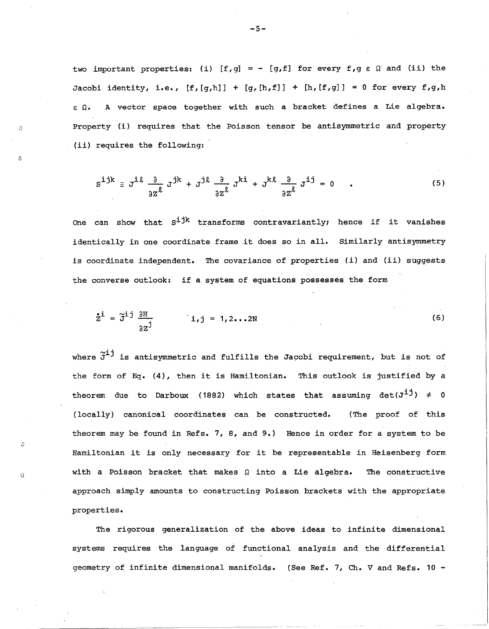two important properties: (i) [f,q] = - [g,f] for every f,g  $\varepsilon$   $\Omega$  and (ii) the Jacobi identity, i.e.,  $[f,[g,h]] + [g,[h,f]] + [h,[f,g]] = 0$  for every  $f,g,h$  $\varepsilon$  Q. A vector space together with such a bracket defines a Lie algebra. Property (i) requires that the Poisson tensor be antisymmetric and property (ii) requires the following:

()

 $\langle$ )

*D* 

Ó

$$
S^{\text{ijk}} \equiv J^{\text{ik}} \frac{\partial}{\partial z^{\ell}} J^{\text{jk}} + J^{\text{jk}} \frac{\partial}{\partial z^{\ell}} J^{\text{ki}} + J^{\text{kl}} \frac{\partial}{\partial z^{\ell}} J^{\text{ij}} = 0 \quad . \tag{5}
$$

One can show that  $S^{\text{ijk}}$  transforms contravariantly; hence if it vanishes identically in one coordinate frame it does so in all. Similarly antisymmetry is coordinate independent. The covariance of properties (i) and (ii) suggests the converse outlook: if a system of equations possesses the form

$$
\dot{\tilde{z}}^{\dot{1}} = \tilde{J}^{\dot{1}\dot{J}} \frac{\partial H}{\partial z^{\dot{J}}} \qquad \dot{1}, \dot{J} = 1, 2...2N \qquad (6)
$$

where  $\tilde{J}^{\dot{1}\dot{J}}$  is antisymmetric and fulfills the Jacobi requirement, but is not of the form of Eg. (4), then it is Hamiltonian. This outlook is justified by a theorem due to Darboux (1882) which states that assuming  $det(J^{1}) \neq 0$ (locally) canonical coordinates can be constructed. (The proof of this theorem may be found in Refs. 7, 8, and 9.) Hence in order for a system to be Hamiltonian it is only necessary for it be representable in Heisenberg form with a Poisson bracket that makes  $\Omega$  into a Lie algebra. The constructive approach simply amounts to constructing Poisson brackets with the appropriate properties.

The rigorous generalization of the above ideas to infinite dimensional systems requires the language of functional analysis and the differential geometry of infinite dimensional manifolds. (See Ref. 7, Ch. V and Refs. 10 -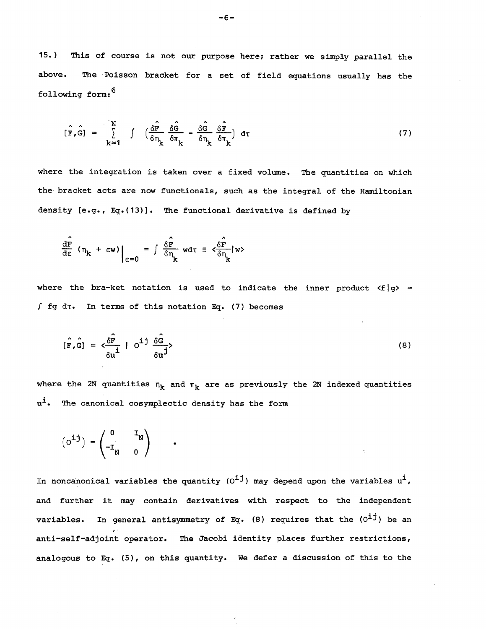15.) This of course is not our purpose here; rather we simply parallel the above. The Poisson bracket for a set of field equations usually has the following form: <sup>6</sup>

$$
\hat{[\mathbf{F},\mathbf{G}]} = \sum_{\mathbf{k}=1}^{N} \int \left( \frac{\delta \hat{\mathbf{F}}}{\delta \eta_{\mathbf{k}}} \frac{\delta \hat{\mathbf{G}}}{\delta \pi_{\mathbf{k}}} - \frac{\delta \hat{\mathbf{G}}}{\delta \eta_{\mathbf{k}}} \frac{\delta \hat{\mathbf{F}}}{\delta \pi_{\mathbf{k}}} \right) d\tau
$$
 (7)

where the integration is taken over a fixed volume. The quantities on which the bracket acts are now functionals, such as the integral of the Hamiltonian density [e.g., Eg.(13)]. The functional derivative is defined by

$$
\frac{d\hat{\mathbf{r}}}{d\epsilon} \left( \eta_{k} + \epsilon \mathbf{w} \right) \Big|_{\epsilon=0} = \int \frac{\delta \hat{\mathbf{r}}}{\delta \eta_{k}} \, \mathbf{w} \, \mathbf{d} \tau \equiv \frac{\delta \hat{\mathbf{r}}}{\delta \eta_{k}} \, \mathbf{w} \cdot \mathbf{w}
$$

where the bra-ket notation is used to indicate the inner product  $\langle f | g \rangle$  =  $\int$  fg dt. In terms of this notation Eq. (7) becomes

$$
[\hat{F}, \hat{G}] = \langle \frac{\hat{\delta F}}{\delta u} | O^{i \, j} \frac{\hat{\delta G}}{\delta u^{j}} \rangle \tag{8}
$$

where the 2N quantities  $n_k$  and  $\pi_k$  are as previously the 2N indexed quantities  $u^i$ . The canonical cosymplectic density has the form

$$
\begin{pmatrix} 0 & \mathbf{I}_N \\ \mathbf{I}_N & \mathbf{0} \end{pmatrix} = \begin{pmatrix} 0 & \mathbf{I}_N \\ -\mathbf{I}_N & \mathbf{0} \end{pmatrix}
$$

In noncanonical variables the quantity ( $0^{\dot{1}\dot{1}}$ ) may depend upon the variables  $u^{\dot{1}}$ , and further it may contain derivatives with respect to the independent variables. In general antisymmetry of Eq. (8) requires that the  $(0^{\dot{1}\dot{1}})$  be an  $\ddot{\mathbf{r}}$ anti-self-adjoint operator. The Jacobi identity places further restrictions, analogous to Eg. (5), on this quantity. We defer a discussion of this to the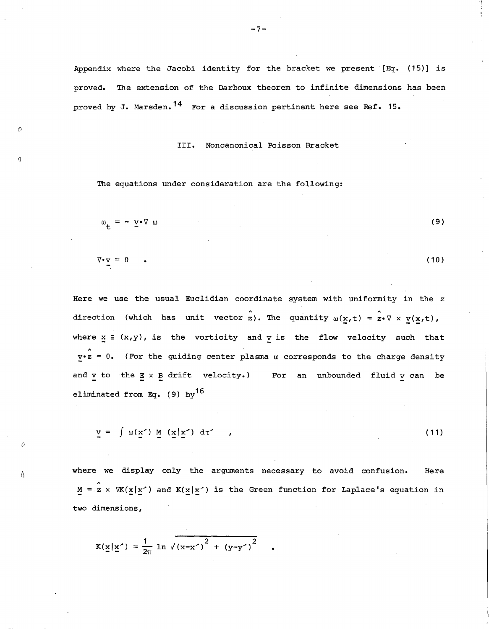Appendix where the Jacobi identity for the bracket we present [Eq. (15)] is proved. The extension of the Darboux theorem to infinite dimensions has been proved by J. Marsden.  $14$  For a discussion pertinent here see Ref. 15.

III. Noncanonical Poisson Bracket

The equations under consideration are the following:

 $\odot$ 

Ó

*o* 

 $\theta$ 

$$
\mu_{\mathbf{t}} = - \underline{\mathbf{v}} \cdot \nabla \omega \tag{9}
$$

$$
\nabla \cdot \underline{\mathbf{v}} = 0 \qquad . \tag{10}
$$

Here we use the usual Euclidian coordinate system with uniformity in the z direction (which has unit vector z). The quantity  $\omega(\underline{x},t) = \hat{z} \cdot \nabla \times \underline{v}(\underline{x},t)$ , where  $x \equiv (x,y)$ , is the vorticity and v is the flow velocity such that  $\hat{v} \cdot \hat{z} = 0$ . (For the guiding center plasma  $\omega$  corresponds to the charge density and  $v$  to the  $E \times B$  drift velocity.) For an unbounded fluid  $v$  can be eliminated from Eq. (9) by<sup>16</sup>

$$
\underline{v} = \int \omega(\underline{x}^*) \underline{M} (\underline{x} | \underline{x}^*) d\tau^*, \qquad (11)
$$

where we display only the arguments necessary to avoid confusion. Here  $M = 2 \times \nabla K(\mathbf{x} | \mathbf{x}')$  and  $K(\mathbf{x} | \mathbf{x}')$  is the Green function for Laplace's equation in<br>wo dimensions,<br> $K(\mathbf{x} | \mathbf{x}') = \frac{1}{2\pi} \ln \sqrt{(x - x')^2 + (y - y')^2}$ . two dimensions,

$$
K(\underline{x}|\underline{x}') = \frac{1}{2\pi} \ln \sqrt{(x-x')^2 + (y-y')^2}
$$

 $-7-$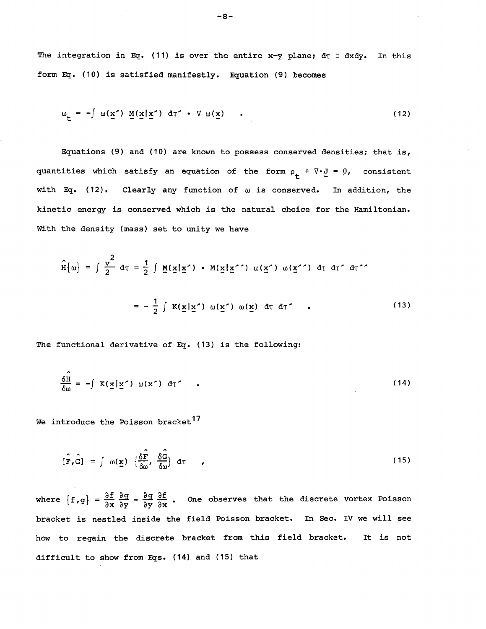The integration in Eq. (11) is over the entire x-y plane;  $d\tau \equiv dxdy$ . In this form Eq. (10) is satisfied manifestly. Equation (9) becomes

$$
\omega_{\underline{\mathbf{t}}} = -\int \omega(\underline{\mathbf{x}}') \underline{\mathbf{M}}(\underline{\mathbf{x}} | \underline{\mathbf{x}}') d\tau' \cdot \nabla \omega(\underline{\mathbf{x}}) \qquad (12)
$$

Equations (9) and (10) are known to possess conserved densities; that is, quantities which satisfy an equation of the form  $\rho^+_{\mathbf{t}} + \nabla \cdot \mathbf{J} = 0$ , consistent with Eq. (12). Clearly any function of  $\omega$  is conserved. In addition, the kinetic energy is conserved which is the natural choice for the Hamiltonian. With the density (mass) set to unity we have

$$
\hat{H}[\omega] = \int \frac{v^2}{2} d\tau = \frac{1}{2} \int \underline{M}(\underline{x}|\underline{x}^*) \cdot M(\underline{x}|\underline{x}^{*}) \omega(\underline{x}^*) \omega(\underline{x}^{*}) d\tau d\tau^* d\tau^*
$$
\n
$$
= -\frac{1}{2} \int K(\underline{x}|\underline{x}^*) \omega(\underline{x}^*) \omega(\underline{x}) d\tau d\tau^*.
$$
\n(13)

The functional derivative of Eq. (13) is the following:

$$
\frac{\delta \hat{H}}{\delta \omega} = -\int K(\underline{x} | \underline{x}') \omega(x') d\tau'
$$
 (14)

We introduce the Poisson bracket<sup>17</sup>

$$
[\hat{\mathbf{F}}_{\mathbf{r}}\hat{\mathbf{G}}] = \int \omega(\mathbf{x}) \left\{ \frac{\delta \hat{\mathbf{F}}}{\delta \omega}, \frac{\delta \hat{\mathbf{G}}}{\delta \omega} \right\} d\tau \qquad (15)
$$

where  ${f, g} = \frac{\partial f}{\partial x} \frac{\partial g}{\partial y} - \frac{\partial g}{\partial y} \frac{\partial f}{\partial x}$ . One observes that the discrete vortex Poisson bracket is nestled inside the field Poisson bracket. In Sec. IV we will see how to regain the discrete bracket from this field bracket. It is not difficult to show from Eqs. (14) and (15) that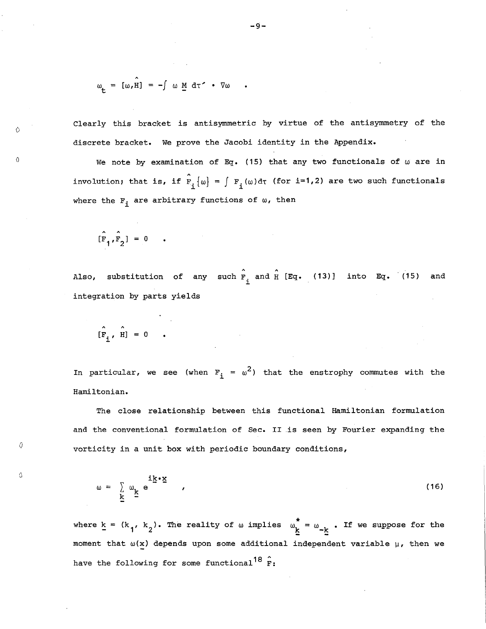$$
\omega_{\mathbf{t}} = [\omega, \hat{\mathbf{H}}] = -\int \omega \underline{\mathbf{M}} d\tau \cdot \nabla \omega
$$

Clearly this bracket is antisymmetric by virtue of the antisymmetry of the discrete bracket. We prove the Jacobi identity in the Appendix.

We note by examination of Eq. (15) that any two functionals of  $\omega$  are in involution; that is, if  $\hat{F}_{i}(\omega) = \int F_{i}(\omega) d\tau$  (for i=1,2) are two such functionals where the  $F_{\underline{i}}$  are arbitrary functions of  $\omega$ , then

$$
[\hat{\mathbf{F}}_1, \hat{\mathbf{F}}_2] = 0
$$

o

o

*o* 

Q.

Also, substitution of any such  $\overline{F}_i$  and  $\overline{H}$  [Eq. (13)] into Eq. (15) and integration by parts yields

$$
[\hat{\mathbf{F}}_{i}, \ \hat{\mathbf{H}}] = 0
$$

In particular, we see (when  $F_{\dot 1}$  =  $\omega^2$ ) that the enstrophy commutes with the Hamiltonian.

The close relationship between this functional Hamiltonian formulation and the conventional formulation of Sec. II is seen by Fourier expanding the vorticity in a unit box with periodic boundary conditions,

$$
\omega = \sum_{\mathbf{k}} \omega_{\mathbf{k}} e^{\mathbf{i} \cdot \mathbf{k} \cdot \mathbf{x}}
$$
 (16)

where  $k = (k_1, k_2)$ . The reality of  $\omega$  implies  $\omega_k^* = \omega_{-k}$ . If we suppose for the moment that  $\omega(x)$  depends upon some additional independent variable  $\mu$ , then we have the following for some functional<sup>18</sup>  $\hat{r}$ :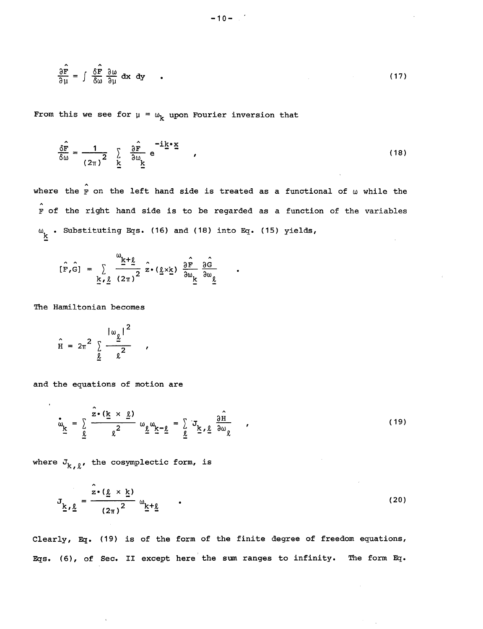$$
\frac{\partial \hat{\mathbf{F}}}{\partial \mu} = \int \frac{\delta \hat{\mathbf{F}}}{\delta \omega} \frac{\partial \omega}{\partial \mu} dx dy \qquad (17)
$$

From this we see for  $\mu = \omega_k$  upon Fourier inversion that

$$
\frac{\delta \hat{\mathbf{F}}}{\delta \omega} = \frac{1}{(2\pi)^2} \sum_{\underline{k}} \frac{\partial \hat{\mathbf{F}}}{\partial \omega_{\underline{k}}} e^{-i\underline{k} \cdot \underline{\mathbf{x}}} ,
$$
 (18)

where the  $\hat{F}$  on the left hand side is treated as a functional of  $\omega$  while the  $\hat{F}$  of the right hand side is to be regarded as a function of the variables  $\omega_{\underline{k}}$  . Substituting Eqs. (16) and (18) into Eq. (15) yields,

$$
[\hat{F}, \hat{G}] = \sum_{\underline{k}, \underline{\ell}} \frac{\omega_{\underline{k} + \underline{\ell}}}{(2\pi)^2} \hat{z} \cdot (\underline{\ell} \times \underline{k}) \frac{\partial \hat{F}}{\partial \omega_{\underline{k}}} \frac{\partial \hat{G}}{\partial \omega_{\underline{\ell}}}
$$

The Hamiltonian becomes

 $\bar{r}$ 

$$
\hat{H} = 2\pi^2 \sum_{\underline{\ell}} \frac{|\omega_{\underline{\ell}}|^2}{\ell^2}
$$

and the equations of motion are

$$
\mathbf{w}_{\underline{k}} = \sum_{\underline{\ell}} \frac{\hat{z} \cdot (\underline{k} \times \underline{\ell})}{\underline{\ell}^2} \omega_{\underline{\ell}} \omega_{\underline{k} - \underline{\ell}} = \sum_{\underline{\ell}} J_{\underline{k}, \underline{\ell}} \frac{\partial \hat{H}}{\partial \omega_{\underline{\ell}}}
$$
 (19)

where  $J_{k, \ell}$ , the cosymplectic form, is

$$
J_{\underline{k},\underline{\ell}} = \frac{\hat{z} \cdot (\underline{\ell} \times \underline{k})}{(2\pi)^2} \omega_{\underline{k} + \underline{\ell}} \qquad .
$$
 (20)

Clearly, Eq. (19) is of the form of the finite degree of freedom equations, Eqs. (6), of Sec. II except here the sum ranges to infinity. The form Eq.

 $-10-$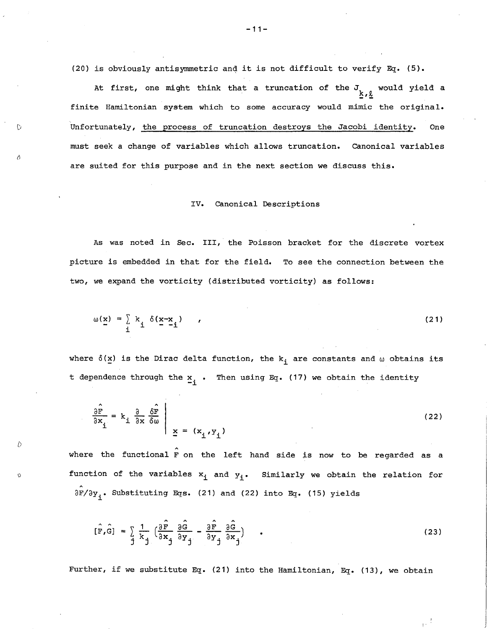(20) is obviously antisymmetric anq it is not difficult to verify Eg. (5).

At first, one might think that a truncation of the  $J_{\underline{k},\underline{\ell}}$  would yield a finite Hamiltonian system which to some accuracy would mimic the original. Unfortunately, the process of truncation destroys the Jacobi identity. One must seek a change of variables which allows truncation. canonical variables are suited for this purpose and in the next section we discuss this.

()

 $\lambda$ 

D

o

#### IV. canonical Descriptions

As was noted in Sec. III, the Poisson bracket for the discrete vortex picture is embedded in that for the field. To see the connection between the two, we expand the vorticity (distributed vorticity) as follows:

$$
\omega(\underline{x}) = \sum_{i} k_{i} \delta(\underline{x} - \underline{x}_{i}) \qquad (21)
$$

where  $\delta(x)$  is the Dirac delta function, the  $k_i$  are constants and  $\omega$  obtains its t dependence through the  $\frac{x}{i}$ . Then using Eq. (17) we obtain the identity

$$
\frac{\partial \hat{F}}{\partial x_{i}} = k_{i} \frac{\partial}{\partial x} \frac{\partial \hat{F}}{\partial \omega} \Big|_{\underline{x} = (x_{i}, y_{i})}
$$
(22)

where the functional  $\hat{r}$  on the left hand side is now to be regarded as a function of the variables  $x_i$  and  $y_i$ . Similarly we obtain the relation for  $\partial F/\partial y$ . Substituting Eqs. (21) and (22) into Eq. (15) yields

$$
[\hat{F}, \hat{G}] = \sum_{j} \frac{1}{k_j} \left( \frac{\partial \hat{F}}{\partial x_j} \frac{\partial \hat{G}}{\partial y_j} - \frac{\partial \hat{F}}{\partial y_j} \frac{\partial \hat{G}}{\partial x_j} \right) \tag{23}
$$

Further, if we substitute Eq. (21) into the Hamiltonian, Eg. (13), we obtain

-11-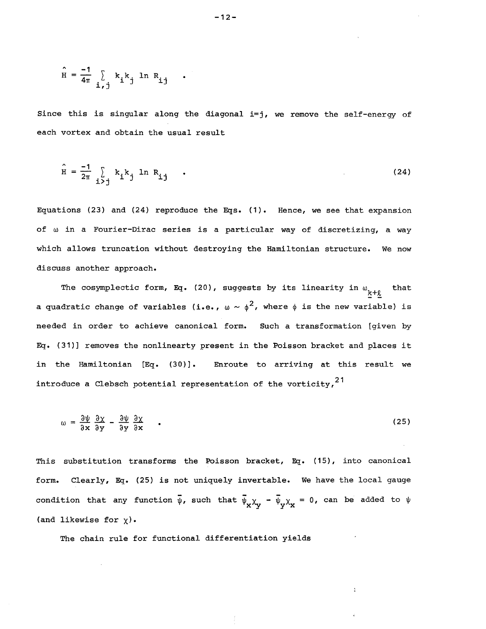$$
\hat{H} = \frac{-1}{4\pi} \sum_{i,j} k_i k_j \ln R_{ij}
$$

Since this is singular along the diagonal  $i=j$ , we remove the self-energy of each vortex and obtain the usual result

$$
\hat{H} = \frac{-1}{2\pi} \sum_{i > j} k_i k_j \ln R_{ij} \qquad (24)
$$

Equations (23) and (24) reproduce the Eqs. (1). Hence, we see that expansion of w in a Fourier-Dirac series is a particular way of discretizing, a way which allows truncation without destroying the Hamiltonian structure. We now discuss another approach.

The cosymplectic form, Eq. (20), suggests by its linearity in  $\omega_{\underline{k}+\underline{\ell}}$ that a quadratic change of variables (i.e.,  $\omega \sim \phi^2$ , where  $\phi$  is the new variable) is needed in order to achieve canonical form. Such a transformation [given by Eq. (31)] removes the nonlinearty present in the Poisson bracket and places it in the Hamiltonian  $[\mathbb{E} q(.30)]$ . Enroute to arriving at this result we introduce a Clebsch potential representation of the vorticity,<sup>21</sup>

$$
\omega = \frac{\partial \psi}{\partial x} \frac{\partial \chi}{\partial y} - \frac{\partial \psi}{\partial y} \frac{\partial \chi}{\partial x} \qquad (25)
$$

This substitution transforms the Poisson bracket, Eq. (15), into canonical form. Clearly, Eq. (25) is not uniquely invertable. We have the local gauge condition that any function  $\bar{\psi}$ , such that  $\bar{\psi}_x \chi_y - \bar{\psi}_y \chi_x = 0$ , can be added to  $\psi$ (and likewise for  $\chi$ ).

The chain rule for functional differentiation yields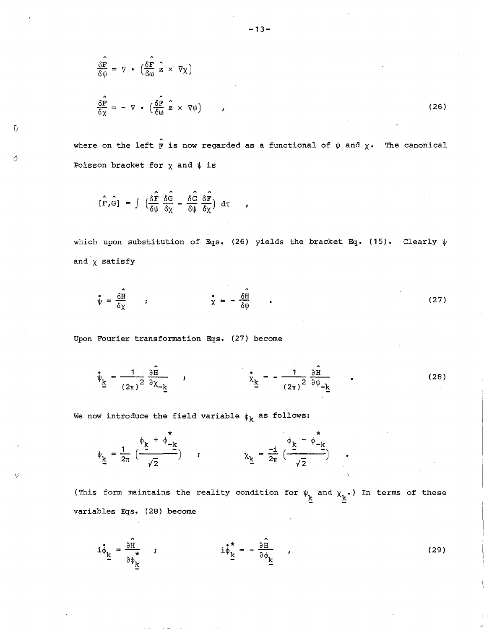$$
\frac{\delta \mathbf{F}}{\delta \psi} = \nabla \cdot \left( \frac{\delta \mathbf{F}}{\delta \omega} \hat{\mathbf{z}} \times \nabla \chi \right)
$$
\n
$$
\frac{\delta \hat{\mathbf{F}}}{\delta \chi} = - \nabla \cdot \left( \frac{\delta \hat{\mathbf{F}}}{\delta \omega} \hat{\mathbf{z}} \times \nabla \psi \right)
$$
\n(26)

where on the left  $\hat{F}$  is now regarded as a functional of  $\psi$  and  $\chi$ . The canonical Poisson bracket for  $\chi$  and  $\psi$  is

$$
[\hat{F}, \hat{G}] = \int \left(\frac{\delta \hat{F}}{\delta \psi} \frac{\delta \hat{G}}{\delta \chi} - \frac{\delta \hat{G}}{\delta \psi} \frac{\delta \hat{F}}{\delta \chi}\right) d\tau
$$

o

D

which upon substitution of Eqs. (26) yields the bracket Eq. (15). Clearly  $\psi$ and  $\chi$  satisfy

$$
\psi = \frac{\hat{\delta H}}{\delta \chi} \qquad ; \qquad \dot{\chi} = -\frac{\hat{\delta H}}{\delta \psi} \qquad . \tag{27}
$$

Upon Fourier transformation Eqs. (27) become

$$
\psi_{\underline{k}} = \frac{1}{(2\pi)^2} \frac{\partial \hat{H}}{\partial \chi_{-\underline{k}}}, \qquad \psi_{\underline{k}} = -\frac{1}{(2\pi)^2} \frac{\partial \hat{H}}{\partial \psi_{-\underline{k}}}, \qquad (28)
$$

We now introduce the field variable  $\phi_k$  as follows:

$$
\psi_{\underline{k}} = \frac{1}{2\pi} \left( \frac{\Phi_{\underline{k}} + \Phi_{-\underline{k}}^*}{\sqrt{2}} \right) \qquad , \qquad \chi_{\underline{k}} = \frac{-i}{2\pi} \left( \frac{\Phi_{\underline{k}} - \Phi_{-\underline{k}}^*}{\sqrt{2}} \right)
$$

(This form maintains the reality condition for  $\psi_{\mathbf k}$  and  $\chi_{\mathbf k}^{\phantom{\dag}}$  ) In terms of these variables Eqs. (28) become

$$
\mathbf{i}\dot{\phi}_{\underline{k}} = \frac{\partial \hat{\mathbf{n}}}{\partial \phi_{\underline{k}}} \qquad \qquad \mathbf{i}\dot{\phi}_{\underline{k}}^* = -\frac{\partial \hat{\mathbf{n}}}{\partial \phi_{\underline{k}}} \qquad (29)
$$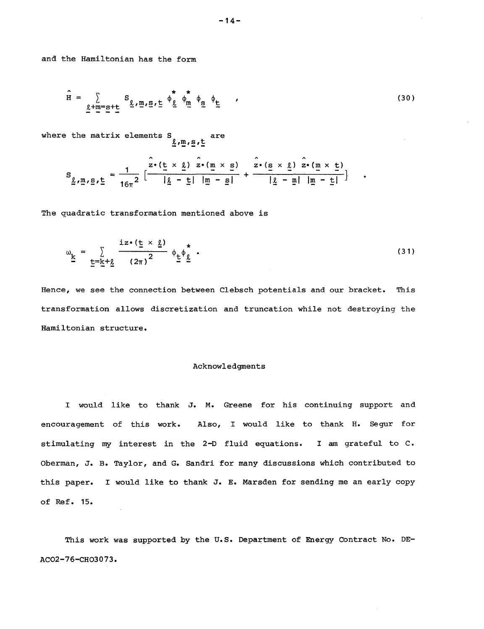and the Hamiltonian has the form

$$
\hat{H} = \sum_{\underline{\ell} + m = s + \underline{t}} S_{\underline{\ell}, m, s, \underline{t}} \phi_{\underline{\ell}} \phi_{m} \phi_{\underline{s}} \phi_{\underline{t}} , \qquad (30)
$$

where the matrix elements S are  $\frac{g}{m}$ ,  $\frac{m}{2}$ ,  $\frac{m}{2}$ 

$$
S_{\underline{\ell}, \underline{m}, \underline{s}, \underline{t}} = \frac{1}{16\pi^2} \left[ \frac{\hat{z} \cdot (\underline{t} \times \underline{\ell}) \ \hat{z} \cdot (\underline{m} \times \underline{s})}{|\underline{\ell} - \underline{t}| |\underline{m} - \underline{s}|} + \frac{\hat{z} \cdot (\underline{s} \times \underline{\ell}) \ \hat{z} \cdot (\underline{m} \times \underline{t})}{|\underline{\ell} - \underline{m}| |\underline{m} - \underline{t}|} \right]
$$

The quadratic transformation mentioned above is

$$
\omega_{\underline{k}} = \sum_{\underline{t} = \underline{k} + \underline{\ell}} \frac{i z \cdot (\underline{t} \times \underline{\ell})}{(2\pi)^2} \phi_{\underline{t}} \phi_{\underline{\ell}}^* \tag{31}
$$

Hence, we see the connection between Clebsch potentials and our bracket. This transformation allows discretization and truncation while not destroying the Hamiltonian structure.

# Acknowledgments

I would like to thank J. M. Greene for his continuing support and encouragement of this work. Also, I would like to thank H. Segur for stimulating my interest in the 2-D fluid equations. I am grateful to C. Oberman, J. B. Taylor, and G. Sandri for many discussions which contributed to this paper. I would like to thank J. E. Marsden for sending me an early copy of Ref. 15.

This work was supported by the U.S. Department of Energy Contract No. DE-AC02-76-CH03073.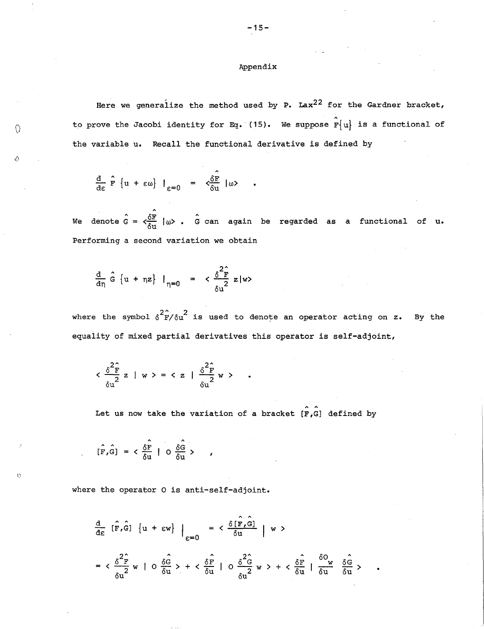# Appendix

Here we generalize the method used by P. Lax<sup>22</sup> for the Gardner bracket, to prove the Jacobi identity for Eq. (15). We suppose  $\hat{\mathbf{r}}\{\mathbf{u}\}\$  is a functional of the variable u. Recall the functional derivative is defined by

$$
\frac{d}{d\varepsilon} \hat{F} \{u + \varepsilon \omega\} \big|_{\varepsilon = 0} = \zeta \frac{\delta F}{\delta u} \big| \omega \rangle
$$

 $\subset$ 

 $\mathbf{C}$ 

We denote  $\hat{G} = \langle \frac{\delta \mathbf{F}}{\delta \mathbf{u}} \mid \omega \rangle$  .  $\hat{G}$  can again be regarded as a functional of  $\mathbf{u}$ . Performing a second variation we obtain

$$
\frac{d}{dn} \hat{G} \{ u + \eta z \} I_{\eta=0} = \langle \frac{\delta^2 \hat{F}}{\delta u^2} z | w \rangle
$$

where the symbol  $\delta^2 \hat{F}/\delta u^2$  is used to denote an operator acting on z. By the equality of mixed partial derivatives this operator is self-adjoint,

$$
\langle \frac{\delta^2 \hat{F}}{\delta u^2} z \mid w \rangle = \langle z \mid \frac{\delta^2 \hat{F}}{\delta u^2} w \rangle
$$

Let us now take the variation of a bracket  $[F,G]$  defined by

$$
[\hat{F}, \hat{G}] = \langle \frac{\delta \hat{F}}{\delta u} | O \frac{\delta \hat{G}}{\delta u} \rangle
$$

where the operator 0 is anti-self-adjoint.

$$
\frac{d}{d\varepsilon} \left[ \hat{F}, \hat{G} \right] \left\{ u + \varepsilon w \right\} \Big|_{\varepsilon=0} = \frac{\delta \left[ \hat{F}, \hat{G} \right]}{\delta u} \Big| w >
$$
\n
$$
= \frac{\delta^2 \hat{F}}{\delta u^2} w \Big| 0 \frac{\delta \hat{G}}{\delta u} > + \frac{\delta \hat{F}}{\delta u} \Big| 0 \frac{\delta^2 \hat{G}}{\delta u^2} w > + \frac{\delta \hat{F}}{\delta u} \Big| \frac{\delta O}{\delta u} \frac{\delta \hat{G}}{\delta u} >
$$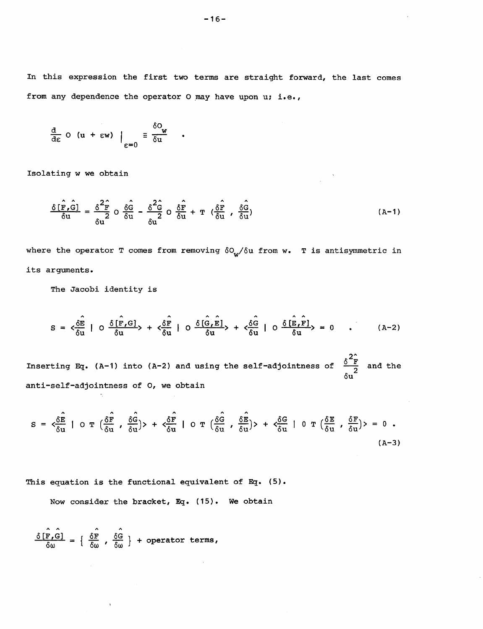In this expression the first two terms are straight forward, the last comes from any dependence the operator O may have upon  $u; i.e.,$ 

$$
\frac{d}{d\varepsilon} \circ (u + \varepsilon w) \Big|_{\varepsilon = 0} \equiv \frac{\delta o_w}{\delta u}
$$

Isolating w we obtain

$$
\frac{\delta[\hat{\mathbf{r}},\hat{\mathbf{G}}]}{\delta \mathbf{u}} = \frac{\delta^2 \hat{\mathbf{r}}}{\delta \mathbf{u}} \cdot \delta \frac{\delta \hat{\mathbf{G}}}{\delta \mathbf{u}} - \frac{\delta^2 \hat{\mathbf{G}}}{\delta \mathbf{u}} \cdot \delta \frac{\delta \hat{\mathbf{r}}}{\delta \mathbf{u}} + \mathbf{T} (\frac{\delta \hat{\mathbf{r}}}{\delta \mathbf{u}} , \frac{\delta \hat{\mathbf{G}}}{\delta \mathbf{u}})
$$
(A-1)

where the operator T comes from removing  $\delta O_{w}/\delta u$  from w. T is antisymmetric in its arguments.

The Jacobi identity is

 $\sim 10^{-1}$ 

$$
S = \langle \frac{\delta \hat{E}}{\delta u} | O \frac{\delta [\hat{F}, G]}{\delta u} \rangle + \langle \frac{\delta \hat{F}}{\delta u} | O \frac{\delta [\hat{G}, \hat{E}]}{\delta u} \rangle + \langle \frac{\delta \hat{G}}{\delta u} | O \frac{\delta [\hat{E}, \hat{F}]}{\delta u} \rangle = 0 \quad . \tag{A-2}
$$

Inserting Eq. (A-1) into (A-2) and using the self-adjointness of  $\frac{\delta^2 \hat{F}}{\delta u}$  and the anti-self-adjointness of 0, we obtain

$$
S = \langle \frac{\delta \hat{E}}{\delta u} | O T (\frac{\delta \hat{F}}{\delta u}, \frac{\delta \hat{G}}{\delta u}) \rangle + \langle \frac{\delta \hat{F}}{\delta u} | O T (\frac{\delta \hat{G}}{\delta u}, \frac{\delta \hat{E}}{\delta u}) \rangle + \langle \frac{\delta G}{\delta u} | O T (\frac{\delta E}{\delta u}, \frac{\delta F}{\delta u}) \rangle = 0
$$
 (A-3)

This equation is the functional equivalent of Eg. (5).

Now consider the bracket, Eg. (15). We obtain

$$
\frac{\delta[\hat{r}, \hat{G}]}{\delta \omega} = \left\{ \begin{array}{c} \hat{\delta \mathbf{F}} \\ \delta \omega \end{array}, \begin{array}{c} \hat{\delta \mathbf{G}} \\ \delta \omega \end{array} \right\} + \text{operator terms,}
$$

 $\sim$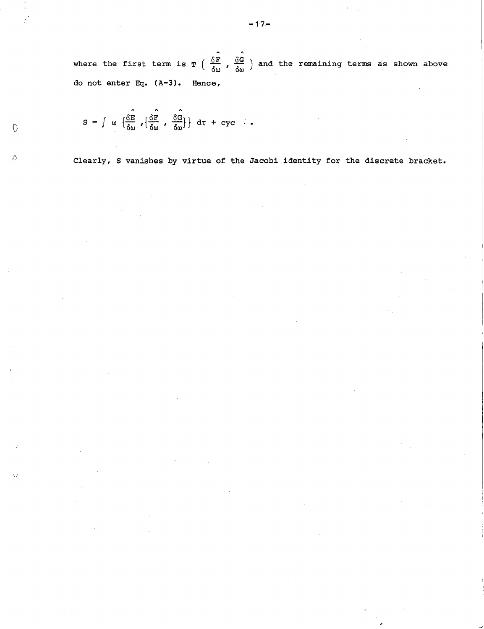where the first term is  $T$  (  $\frac{\delta F}{\delta \omega}$  ,  $\frac{\delta G}{\delta \omega}$  ) and the remaining terms as shown above do not enter Eq. (A-3). Hence,

$$
S = \int \omega \left\{ \frac{\hat{\delta E}}{\delta \omega}, \left\{ \frac{\hat{\delta F}}{\delta \omega}, \frac{\hat{\delta G}}{\delta \omega} \right\} \right\} d\tau + cyc \quad .
$$

{)

 $\Omega$ 

 $\bigcap$ 

Clearly, S vanishes by virtue of the Jacobi identity for the discrete bracket.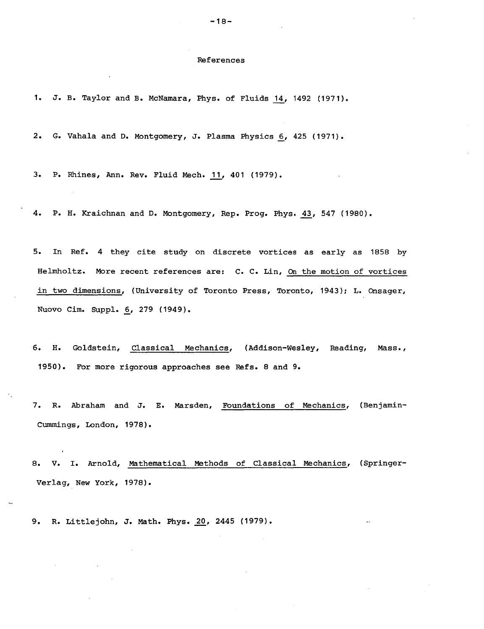#### References

1. J. B. Taylor and B. McNamara, Phys. of Fluids li, 1492 (1971).

2. G. Vahala and D. Montgomery, J. Plasma Physics 6, 425 (1971).

3. P. Rhines, Ann. Rev. Fluid Mech. 11, 401 (1979).

4. P. H. Kraichnan and D. Montgomery, Rep. Prog. Phys. 43, 547 (1980).

5. In Ref. 4 they cite study on discrete vortices as early as 1858 by Helmholtz. More recent references are: C. C. Lin, On the motion of vortices in two dimensions, (University of Toronto Press, Toronto, 1943); L. Onsager, Nuovo Cim. Suppl. 6, 279 (1949).

6. H. Goldstein, Classical Mechanics, (Addison-Wesley, Reading, Mass., 1950). For more rigorous approaches see Refs. 8 and 9.

7. R. Abraham and J. E. Marsden, Foundations of Mechanics, (Benjamin-Cummings, London, 1978).

8. V. I. Arnold, Mathematical Methods of Classical Mechanics, (Springer-Verlag, New York, 1978).

9. R. Littlejohn, J. Math. Phys. 20, 2445 (1979).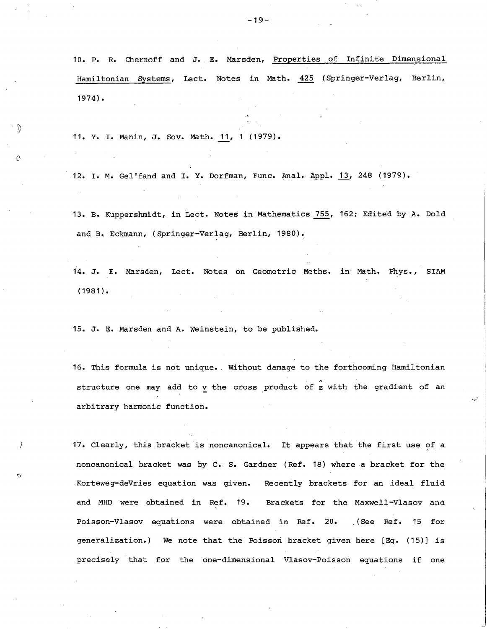10. P. R. Chernoff and J. E. Marsden, Properties of Infinite Dimensional Hamiltonian Systems, Lect. Notes in Math. 425 (Springer-Verlag, Berlin, 1974).

11. Y. I. Manin, J. Sov. Math. J1., 1 (1979).

12. I. M. Gel'fand and I. Y. Dorfman, Func. Anal. Appl. 13, 248 (1979).

13. B. Kuppershmidt, in Lect. Notes in Mathematics 755, 162; Edited by A. Dold and B. Eckmann, (Springer-Verlag, Berlin, 1980).

14. J. E. Marsden, Lect. Notes on Geometric Meths. in Math. Phys., SIAM (1981).

15. J. E. Marsden and A. Weinstein, to be published.

)

 $\cdot$  0

 $\triangle$ 

16. This formula is not unique. Without damage to the forthcoming Hamiltonian structure one may add to v the cross product of z with the gradient of an arbitrary harmonic function.

17. Clearly, this bracket is noncanonical. It appears that the first use of a noncanonical bracket was by C. S. Gardner (Ref. 18) where a bracket for the Korteweg-deVries equation was given. and MHD were obtained in Ref. 19. Recently brackets for an ideal fluid Brackets for the Maxwell-Vlasov and Poisson-Vlasov equations were obtained in Ref. 20. (See Ref. 15 for generalization.) We note that the Poisson bracket given here [Eq. (15)] is precisely that for the one-dimensional Vlasov-Poisson equations if one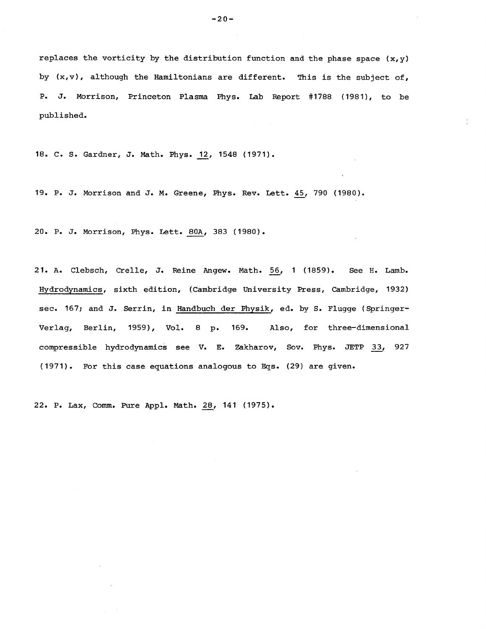replaces the vorticity by the distribution function and the phase space  $(x,y)$ by  $(x,v)$ , although the Hamiltonians are different. This is the subject of, P. J. Morrison, Princeton Plasma Phys. Lab Report #1788 (1981), to be published.

18. C. S. Gardner, J. Math. Phys. 12, 1548 (1971).

19. P. J. Morrison and J. M. Greene, Phys. Rev. Lett. 45, 790 (1980).

20. P. J. Morrison, Phys. Lett. 80A, 383 (1980).

21. A. Clebsch, Crelle, J. Reine Angew. Math. 56, 1 (1859). See H. Lamb. Hydrodynamics, sixth edition, (Cambridge University Press, cambridge, 1932) sec. 167; and J. Serrin, in Handbuch der Physik, ed. by S. Flugge (Springer-Verlag, Berlin, 1959), Vol. 8 p. 169. Also, for three-dimensional compressible hydrodynamics see V. E. zakharov, Sov. Phys. JETP *E.! 927*  (1971). For this case equations analogous to Eqs. (29) are given.

22. P. Lax, Comm. Pure Appl. Math. 28, 141 (1975).